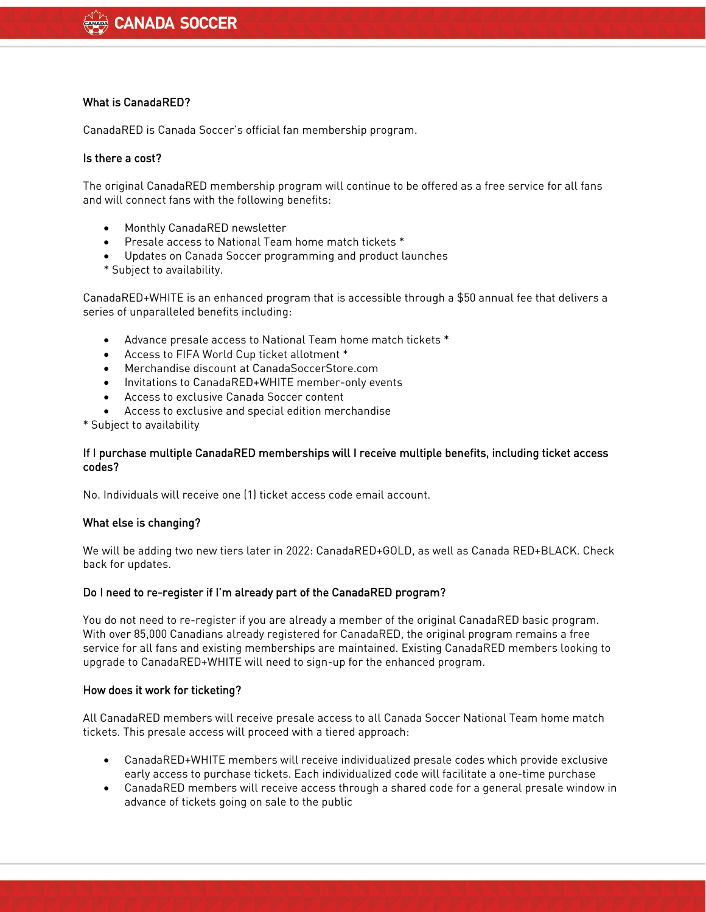# What is CanadaRED?

CanadaRED is Canada Soccer's official fan membership program.

### Is there a cost?

The original CanadaRED membership program will continue to be offered as a free service for all fans and will connect fans with the following benefits:

- Monthly CanadaRED newsletter
- Presale access to National Team home match tickets \*
- Updates on Canada Soccer programming and product launches
- \* Subject to availability.

CanadaRED+WHITE is an enhanced program that is accessible through a \$50 annual fee that delivers a series of unparalleled benefits including:

- Advance presale access to National Team home match tickets \*
- Access to FIFA World Cup ticket allotment \*
- Merchandise discount at CanadaSoccerStore.com
- Invitations to CanadaRED+WHITE member-only events
- Access to exclusive Canada Soccer content
- Access to exclusive and special edition merchandise

\* Subject to availability

### If I purchase multiple CanadaRED memberships will I receive multiple benefits, including ticket access codes?

No. Individuals will receive one (1) ticket access code email account.

# What else is changing?

We will be adding two new tiers later in 2022: CanadaRED+GOLD, as well as Canada RED+BLACK. Check back for updates.

# Do I need to re-register if I'm already part of the CanadaRED program?

You do not need to re-register if you are already a member of the original CanadaRED basic program. With over 85,000 Canadians already registered for CanadaRED, the original program remains a free service for all fans and existing memberships are maintained. Existing CanadaRED members looking to upgrade to CanadaRED+WHITE will need to sign-up for the enhanced program.

#### How does it work for ticketing?

All CanadaRED members will receive presale access to all Canada Soccer National Team home match tickets. This presale access will proceed with a tiered approach:

- CanadaRED+WHITE members will receive individualized presale codes which provide exclusive early access to purchase tickets. Each individualized code will facilitate a one-time purchase
- CanadaRED members will receive access through a shared code for a general presale window in advance of tickets going on sale to the public